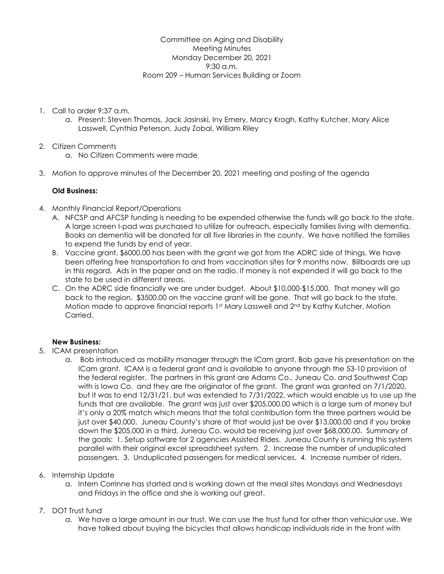Committee on Aging and Disability Meeting Minutes Monday December 20, 2021 9:30 a.m. Room 209 – Human Services Building or Zoom

- 1. Call to order 9:37 a.m.
	- a. Present: Steven Thomas, Jack Jasinski, Iny Emery, Marcy Krogh, Kathy Kutcher, Mary Alice Lasswell, Cynthia Peterson, Judy Zobal, William Riley
- 2. Citizen Comments
	- a. No Citizen Comments were made
- 3. Motion to approve minutes of the December 20, 2021 meeting and posting of the agenda

## **Old Business:**

- 4. Monthly Financial Report/Operations
	- A. NFCSP and AFCSP funding is needing to be expended otherwise the funds will go back to the state. A large screen I-pad was purchased to utilize for outreach, especially families living with dementia. Books on dementia will be donated for all five libraries in the county. We have notified the families to expend the funds by end of year.
	- B. Vaccine grant, \$6000.00 has been with the grant we got from the ADRC side of things. We have been offering free transportation to and from vaccination sites for 9 months now. Billboards are up in this regard. Ads in the paper and on the radio. If money is not expended it will go back to the state to be used in different areas.
	- C. On the ADRC side financially we are under budget. About \$10,000-\$15,000. That money will go back to the region. \$3500.00 on the vaccine grant will be gone. That will go back to the state. Motion made to approve financial reports 1st Mary Lasswell and 2<sup>nd</sup> by Kathy Kutcher. Motion Carried.

## **New Business:**

- 5. ICAM presentation
	- a. Bob introduced as mobility manager through the ICam grant. Bob gave his presentation on the ICam grant. ICAM is a federal grant and is available to anyone through the 53-10 provision of the federal register. The partners in this grant are Adams Co., Juneau Co. and Southwest Cap with is lowa Co. and they are the originator of the grant. The grant was granted on 7/1/2020, but it was to end 12/31/21, but was extended to 7/31/2022, which would enable us to use up the funds that are available. The grant was just over \$205,000.00 which is a large sum of money but it's only a 20% match which means that the total contribution form the three partners would be just over \$40,000. Juneau County's share of that would just be over \$13,000.00 and if you broke down the \$205,000 in a third, Juneau Co. would be receiving just over \$68,000.00. Summary of the goals: 1. Setup software for 2 agencies Assisted Rides. Juneau County is running this system parallel with their original excel spreadsheet system. 2. Increase the number of unduplicated passengers. 3. Unduplicated passengers for medical services. 4. Increase number of riders.
- 6. Internship Update
	- a. Intern Corrinne has started and is working down at the meal sites Mondays and Wednesdays and Fridays in the office and she is working out great.

## 7. DOT Trust fund

a. We have a large amount in our trust. We can use the trust fund for other than vehicular use. We have talked about buying the bicycles that allows handicap individuals ride in the front with